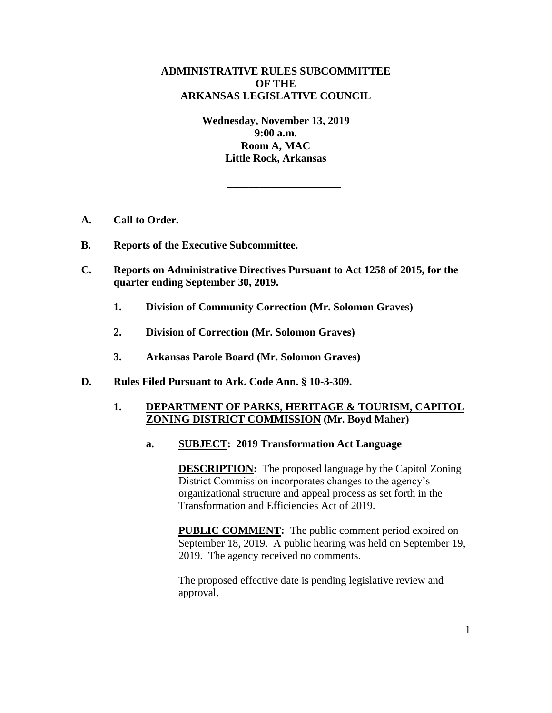# **ADMINISTRATIVE RULES SUBCOMMITTEE OF THE ARKANSAS LEGISLATIVE COUNCIL**

**Wednesday, November 13, 2019 9:00 a.m. Room A, MAC Little Rock, Arkansas** 

**\_\_\_\_\_\_\_\_\_\_\_\_\_\_\_\_\_\_\_\_\_** 

- **A. Call to Order.**
- **B. Reports of the Executive Subcommittee.**
- **C. Reports on Administrative Directives Pursuant to Act 1258 of 2015, for the quarter ending September 30, 2019.** 
	- **1. Division of Community Correction (Mr. Solomon Graves)**
	- **2. Division of Correction (Mr. Solomon Graves)**
	- **3. Arkansas Parole Board (Mr. Solomon Graves)**
- **D. Rules Filed Pursuant to Ark. Code Ann. § 10-3-309.**

## **1. DEPARTMENT OF PARKS, HERITAGE & TOURISM, CAPITOL ZONING DISTRICT COMMISSION (Mr. Boyd Maher)**

**a. SUBJECT: 2019 Transformation Act Language**

**DESCRIPTION:** The proposed language by the Capitol Zoning District Commission incorporates changes to the agency's organizational structure and appeal process as set forth in the Transformation and Efficiencies Act of 2019.

**PUBLIC COMMENT:** The public comment period expired on September 18, 2019. A public hearing was held on September 19, 2019. The agency received no comments.

The proposed effective date is pending legislative review and approval.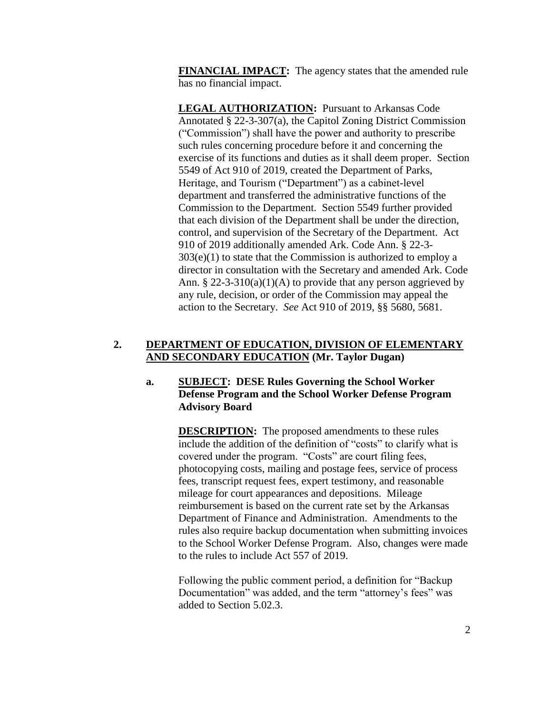**FINANCIAL IMPACT:** The agency states that the amended rule has no financial impact.

**LEGAL AUTHORIZATION:** Pursuant to Arkansas Code Annotated § 22-3-307(a), the Capitol Zoning District Commission ("Commission") shall have the power and authority to prescribe such rules concerning procedure before it and concerning the exercise of its functions and duties as it shall deem proper. Section 5549 of Act 910 of 2019, created the Department of Parks, Heritage, and Tourism ("Department") as a cabinet-level department and transferred the administrative functions of the Commission to the Department. Section 5549 further provided that each division of the Department shall be under the direction, control, and supervision of the Secretary of the Department. Act 910 of 2019 additionally amended Ark. Code Ann. § 22-3-  $303(e)(1)$  to state that the Commission is authorized to employ a director in consultation with the Secretary and amended Ark. Code Ann. § 22-3-310(a)(1)(A) to provide that any person aggrieved by any rule, decision, or order of the Commission may appeal the action to the Secretary. *See* Act 910 of 2019, §§ 5680, 5681.

# **2. DEPARTMENT OF EDUCATION, DIVISION OF ELEMENTARY AND SECONDARY EDUCATION (Mr. Taylor Dugan)**

# **a. SUBJECT: DESE Rules Governing the School Worker Defense Program and the School Worker Defense Program Advisory Board**

**DESCRIPTION:** The proposed amendments to these rules include the addition of the definition of "costs" to clarify what is covered under the program. "Costs" are court filing fees, photocopying costs, mailing and postage fees, service of process fees, transcript request fees, expert testimony, and reasonable mileage for court appearances and depositions. Mileage reimbursement is based on the current rate set by the Arkansas Department of Finance and Administration. Amendments to the rules also require backup documentation when submitting invoices to the School Worker Defense Program. Also, changes were made to the rules to include Act 557 of 2019.

Following the public comment period, a definition for "Backup Documentation" was added, and the term "attorney's fees" was added to Section 5.02.3.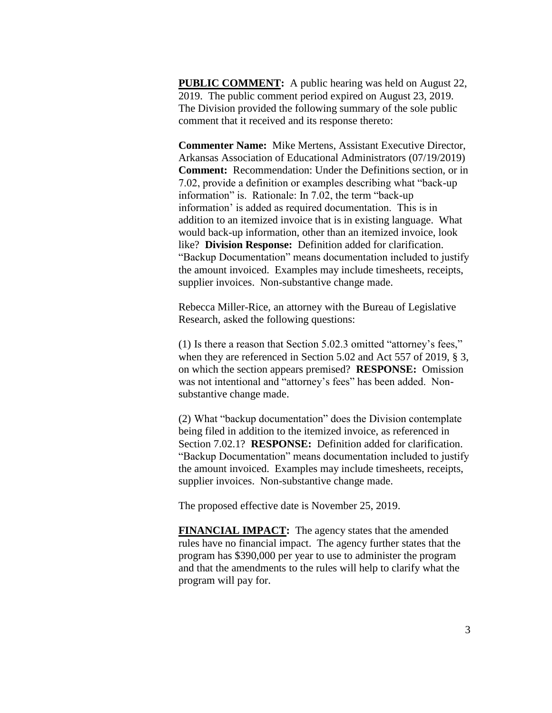**PUBLIC COMMENT:** A public hearing was held on August 22, 2019. The public comment period expired on August 23, 2019. The Division provided the following summary of the sole public comment that it received and its response thereto:

**Commenter Name:** Mike Mertens, Assistant Executive Director, Arkansas Association of Educational Administrators (07/19/2019) **Comment:** Recommendation: Under the Definitions section, or in 7.02, provide a definition or examples describing what "back-up information" is. Rationale: In 7.02, the term "back-up information' is added as required documentation. This is in addition to an itemized invoice that is in existing language. What would back-up information, other than an itemized invoice, look like? **Division Response:** Definition added for clarification. "Backup Documentation" means documentation included to justify the amount invoiced. Examples may include timesheets, receipts, supplier invoices. Non-substantive change made.

Rebecca Miller-Rice, an attorney with the Bureau of Legislative Research, asked the following questions:

(1) Is there a reason that Section 5.02.3 omitted "attorney's fees," when they are referenced in Section 5.02 and Act 557 of 2019, § 3, on which the section appears premised? **RESPONSE:** Omission was not intentional and "attorney's fees" has been added. Nonsubstantive change made.

(2) What "backup documentation" does the Division contemplate being filed in addition to the itemized invoice, as referenced in Section 7.02.1? **RESPONSE:** Definition added for clarification. "Backup Documentation" means documentation included to justify the amount invoiced. Examples may include timesheets, receipts, supplier invoices. Non-substantive change made.

The proposed effective date is November 25, 2019.

**FINANCIAL IMPACT:** The agency states that the amended rules have no financial impact. The agency further states that the program has \$390,000 per year to use to administer the program and that the amendments to the rules will help to clarify what the program will pay for.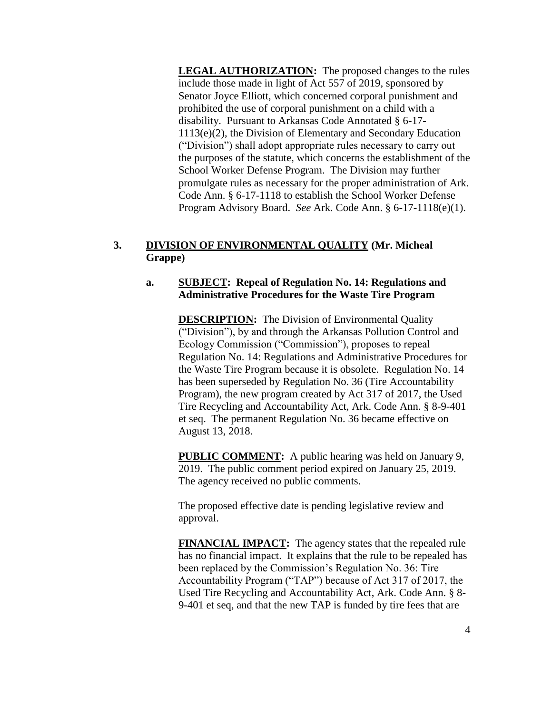**LEGAL AUTHORIZATION:** The proposed changes to the rules include those made in light of Act 557 of 2019, sponsored by Senator Joyce Elliott, which concerned corporal punishment and prohibited the use of corporal punishment on a child with a disability. Pursuant to Arkansas Code Annotated § 6-17- 1113(e)(2), the Division of Elementary and Secondary Education ("Division") shall adopt appropriate rules necessary to carry out the purposes of the statute, which concerns the establishment of the School Worker Defense Program. The Division may further promulgate rules as necessary for the proper administration of Ark. Code Ann. § 6-17-1118 to establish the School Worker Defense Program Advisory Board. *See* Ark. Code Ann. § 6-17-1118(e)(1).

# **3. DIVISION OF ENVIRONMENTAL QUALITY (Mr. Micheal Grappe)**

## **a. SUBJECT: Repeal of Regulation No. 14: Regulations and Administrative Procedures for the Waste Tire Program**

**DESCRIPTION:** The Division of Environmental Quality ("Division"), by and through the Arkansas Pollution Control and Ecology Commission ("Commission"), proposes to repeal Regulation No. 14: Regulations and Administrative Procedures for the Waste Tire Program because it is obsolete. Regulation No. 14 has been superseded by Regulation No. 36 (Tire Accountability Program), the new program created by Act 317 of 2017, the Used Tire Recycling and Accountability Act, Ark. Code Ann. § 8-9-401 et seq. The permanent Regulation No. 36 became effective on August 13, 2018.

**PUBLIC COMMENT:** A public hearing was held on January 9, 2019. The public comment period expired on January 25, 2019. The agency received no public comments.

The proposed effective date is pending legislative review and approval.

**FINANCIAL IMPACT:** The agency states that the repealed rule has no financial impact. It explains that the rule to be repealed has been replaced by the Commission's Regulation No. 36: Tire Accountability Program ("TAP") because of Act 317 of 2017, the Used Tire Recycling and Accountability Act, Ark. Code Ann. § 8- 9-401 et seq, and that the new TAP is funded by tire fees that are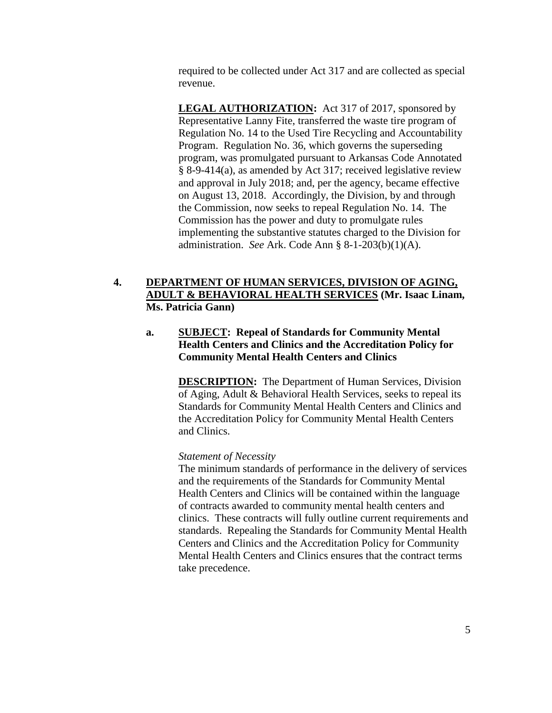required to be collected under Act 317 and are collected as special revenue.

LEGAL AUTHORIZATION: Act 317 of 2017, sponsored by Representative Lanny Fite, transferred the waste tire program of Regulation No. 14 to the Used Tire Recycling and Accountability Program. Regulation No. 36, which governs the superseding program, was promulgated pursuant to Arkansas Code Annotated § 8-9-414(a), as amended by Act 317; received legislative review and approval in July 2018; and, per the agency, became effective on August 13, 2018. Accordingly, the Division, by and through the Commission, now seeks to repeal Regulation No. 14. The Commission has the power and duty to promulgate rules implementing the substantive statutes charged to the Division for administration. *See* Ark. Code Ann § 8-1-203(b)(1)(A).

# **4. DEPARTMENT OF HUMAN SERVICES, DIVISION OF AGING, ADULT & BEHAVIORAL HEALTH SERVICES (Mr. Isaac Linam, Ms. Patricia Gann)**

# **a. SUBJECT: Repeal of Standards for Community Mental Health Centers and Clinics and the Accreditation Policy for Community Mental Health Centers and Clinics**

**DESCRIPTION:** The Department of Human Services, Division of Aging, Adult & Behavioral Health Services, seeks to repeal its Standards for Community Mental Health Centers and Clinics and the Accreditation Policy for Community Mental Health Centers and Clinics.

## *Statement of Necessity*

The minimum standards of performance in the delivery of services and the requirements of the Standards for Community Mental Health Centers and Clinics will be contained within the language of contracts awarded to community mental health centers and clinics. These contracts will fully outline current requirements and standards. Repealing the Standards for Community Mental Health Centers and Clinics and the Accreditation Policy for Community Mental Health Centers and Clinics ensures that the contract terms take precedence.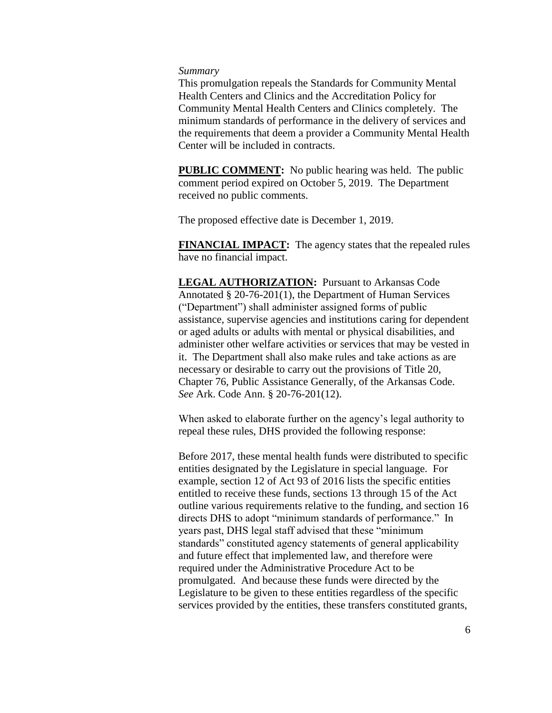### *Summary*

This promulgation repeals the Standards for Community Mental Health Centers and Clinics and the Accreditation Policy for Community Mental Health Centers and Clinics completely. The minimum standards of performance in the delivery of services and the requirements that deem a provider a Community Mental Health Center will be included in contracts.

**PUBLIC COMMENT:** No public hearing was held. The public comment period expired on October 5, 2019. The Department received no public comments.

The proposed effective date is December 1, 2019.

**FINANCIAL IMPACT:** The agency states that the repealed rules have no financial impact.

**LEGAL AUTHORIZATION:** Pursuant to Arkansas Code Annotated § 20-76-201(1), the Department of Human Services ("Department") shall administer assigned forms of public assistance, supervise agencies and institutions caring for dependent or aged adults or adults with mental or physical disabilities, and administer other welfare activities or services that may be vested in it. The Department shall also make rules and take actions as are necessary or desirable to carry out the provisions of Title 20, Chapter 76, Public Assistance Generally, of the Arkansas Code. *See* Ark. Code Ann. § 20-76-201(12).

When asked to elaborate further on the agency's legal authority to repeal these rules, DHS provided the following response:

Before 2017, these mental health funds were distributed to specific entities designated by the Legislature in special language. For example, section 12 of Act 93 of 2016 lists the specific entities entitled to receive these funds, sections 13 through 15 of the Act outline various requirements relative to the funding, and section 16 directs DHS to adopt "minimum standards of performance." In years past, DHS legal staff advised that these "minimum standards" constituted agency statements of general applicability and future effect that implemented law, and therefore were required under the Administrative Procedure Act to be promulgated. And because these funds were directed by the Legislature to be given to these entities regardless of the specific services provided by the entities, these transfers constituted grants,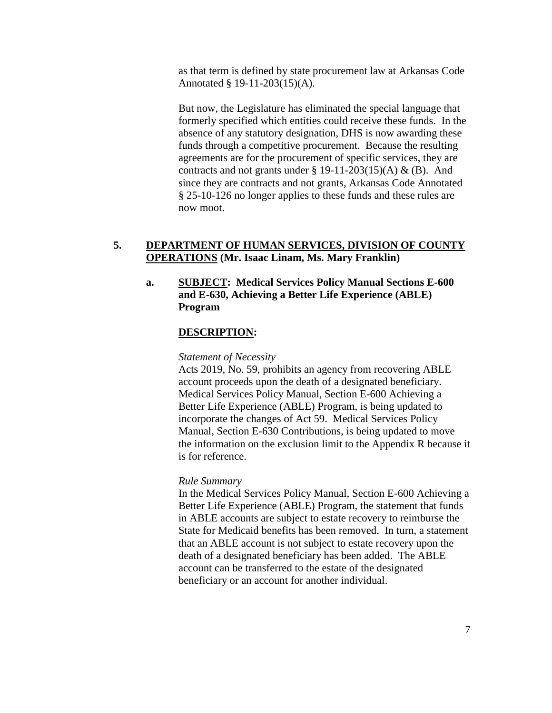as that term is defined by state procurement law at Arkansas Code Annotated § 19-11-203(15)(A).

But now, the Legislature has eliminated the special language that formerly specified which entities could receive these funds. In the absence of any statutory designation, DHS is now awarding these funds through a competitive procurement. Because the resulting agreements are for the procurement of specific services, they are contracts and not grants under  $\S 19-11-203(15)$ (A) & (B). And since they are contracts and not grants, Arkansas Code Annotated § 25-10-126 no longer applies to these funds and these rules are now moot.

## **5. DEPARTMENT OF HUMAN SERVICES, DIVISION OF COUNTY OPERATIONS (Mr. Isaac Linam, Ms. Mary Franklin)**

# **a. SUBJECT: Medical Services Policy Manual Sections E-600 and E-630, Achieving a Better Life Experience (ABLE) Program**

### **DESCRIPTION:**

#### *Statement of Necessity*

Acts 2019, No. 59, prohibits an agency from recovering ABLE account proceeds upon the death of a designated beneficiary. Medical Services Policy Manual, Section E-600 Achieving a Better Life Experience (ABLE) Program, is being updated to incorporate the changes of Act 59. Medical Services Policy Manual, Section E-630 Contributions, is being updated to move the information on the exclusion limit to the Appendix R because it is for reference.

### *Rule Summary*

In the Medical Services Policy Manual, Section E-600 Achieving a Better Life Experience (ABLE) Program, the statement that funds in ABLE accounts are subject to estate recovery to reimburse the State for Medicaid benefits has been removed. In turn, a statement that an ABLE account is not subject to estate recovery upon the death of a designated beneficiary has been added. The ABLE account can be transferred to the estate of the designated beneficiary or an account for another individual.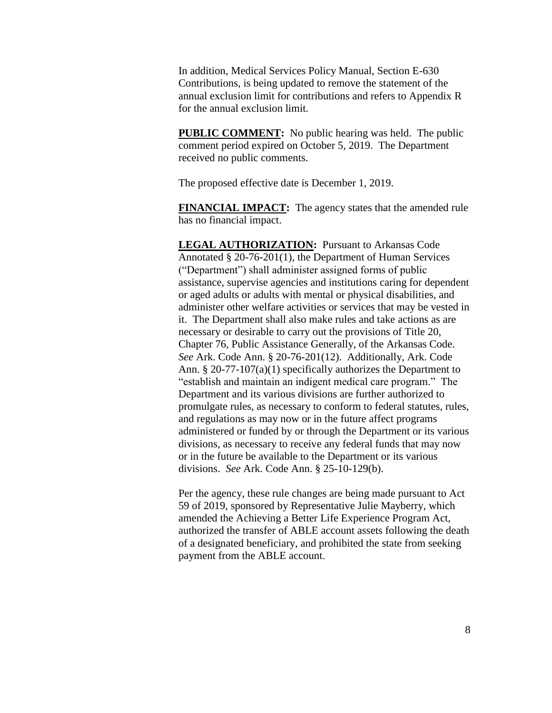In addition, Medical Services Policy Manual, Section E-630 Contributions, is being updated to remove the statement of the annual exclusion limit for contributions and refers to Appendix R for the annual exclusion limit.

**PUBLIC COMMENT:** No public hearing was held. The public comment period expired on October 5, 2019. The Department received no public comments.

The proposed effective date is December 1, 2019.

**FINANCIAL IMPACT:** The agency states that the amended rule has no financial impact.

**LEGAL AUTHORIZATION:** Pursuant to Arkansas Code Annotated § 20-76-201(1), the Department of Human Services ("Department") shall administer assigned forms of public assistance, supervise agencies and institutions caring for dependent or aged adults or adults with mental or physical disabilities, and administer other welfare activities or services that may be vested in it. The Department shall also make rules and take actions as are necessary or desirable to carry out the provisions of Title 20, Chapter 76, Public Assistance Generally, of the Arkansas Code. *See* Ark. Code Ann. § 20-76-201(12). Additionally, Ark. Code Ann. § 20-77-107(a)(1) specifically authorizes the Department to "establish and maintain an indigent medical care program." The Department and its various divisions are further authorized to promulgate rules, as necessary to conform to federal statutes, rules, and regulations as may now or in the future affect programs administered or funded by or through the Department or its various divisions, as necessary to receive any federal funds that may now or in the future be available to the Department or its various divisions. *See* Ark. Code Ann. § 25-10-129(b).

Per the agency, these rule changes are being made pursuant to Act 59 of 2019, sponsored by Representative Julie Mayberry, which amended the Achieving a Better Life Experience Program Act, authorized the transfer of ABLE account assets following the death of a designated beneficiary, and prohibited the state from seeking payment from the ABLE account.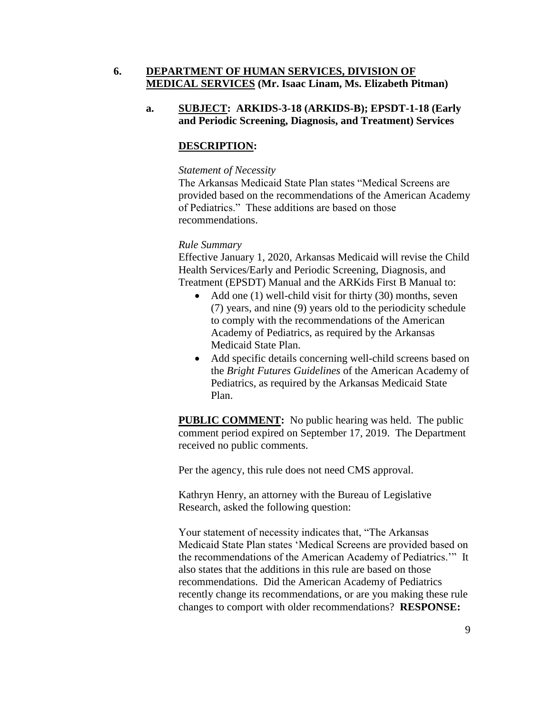# **6. DEPARTMENT OF HUMAN SERVICES, DIVISION OF MEDICAL SERVICES (Mr. Isaac Linam, Ms. Elizabeth Pitman)**

# **a. SUBJECT: ARKIDS-3-18 (ARKIDS-B); EPSDT-1-18 (Early and Periodic Screening, Diagnosis, and Treatment) Services**

# **DESCRIPTION:**

### *Statement of Necessity*

The Arkansas Medicaid State Plan states "Medical Screens are provided based on the recommendations of the American Academy of Pediatrics." These additions are based on those recommendations.

## *Rule Summary*

Effective January 1, 2020, Arkansas Medicaid will revise the Child Health Services/Early and Periodic Screening, Diagnosis, and Treatment (EPSDT) Manual and the ARKids First B Manual to:

- Add one (1) well-child visit for thirty (30) months, seven (7) years, and nine (9) years old to the periodicity schedule to comply with the recommendations of the American Academy of Pediatrics, as required by the Arkansas Medicaid State Plan.
- Add specific details concerning well-child screens based on the *Bright Futures Guidelines* of the American Academy of Pediatrics, as required by the Arkansas Medicaid State Plan.

**PUBLIC COMMENT:** No public hearing was held. The public comment period expired on September 17, 2019. The Department received no public comments.

Per the agency, this rule does not need CMS approval.

Kathryn Henry, an attorney with the Bureau of Legislative Research, asked the following question:

Your statement of necessity indicates that, "The Arkansas Medicaid State Plan states 'Medical Screens are provided based on the recommendations of the American Academy of Pediatrics.'" It also states that the additions in this rule are based on those recommendations. Did the American Academy of Pediatrics recently change its recommendations, or are you making these rule changes to comport with older recommendations? **RESPONSE:**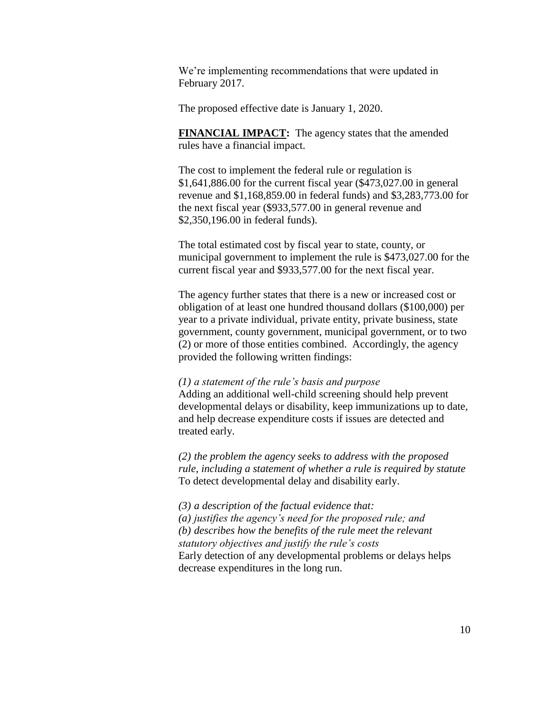We're implementing recommendations that were updated in February 2017.

The proposed effective date is January 1, 2020.

**FINANCIAL IMPACT:** The agency states that the amended rules have a financial impact.

The cost to implement the federal rule or regulation is \$1,641,886.00 for the current fiscal year (\$473,027.00 in general revenue and \$1,168,859.00 in federal funds) and \$3,283,773.00 for the next fiscal year (\$933,577.00 in general revenue and \$2,350,196.00 in federal funds).

The total estimated cost by fiscal year to state, county, or municipal government to implement the rule is \$473,027.00 for the current fiscal year and \$933,577.00 for the next fiscal year.

The agency further states that there is a new or increased cost or obligation of at least one hundred thousand dollars (\$100,000) per year to a private individual, private entity, private business, state government, county government, municipal government, or to two (2) or more of those entities combined. Accordingly, the agency provided the following written findings:

### *(1) a statement of the rule's basis and purpose*

Adding an additional well-child screening should help prevent developmental delays or disability, keep immunizations up to date, and help decrease expenditure costs if issues are detected and treated early.

*(2) the problem the agency seeks to address with the proposed rule, including a statement of whether a rule is required by statute* To detect developmental delay and disability early.

*(3) a description of the factual evidence that: (a) justifies the agency's need for the proposed rule; and (b) describes how the benefits of the rule meet the relevant statutory objectives and justify the rule's costs* Early detection of any developmental problems or delays helps decrease expenditures in the long run.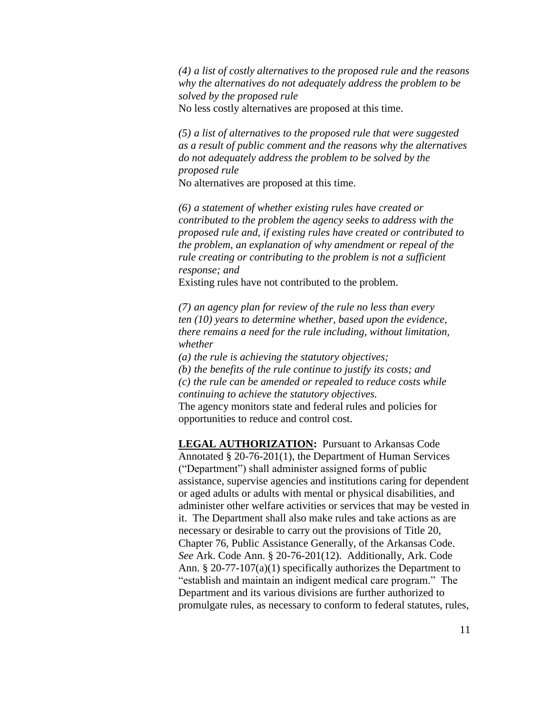*(4) a list of costly alternatives to the proposed rule and the reasons why the alternatives do not adequately address the problem to be solved by the proposed rule* No less costly alternatives are proposed at this time.

*(5) a list of alternatives to the proposed rule that were suggested as a result of public comment and the reasons why the alternatives do not adequately address the problem to be solved by the proposed rule*

No alternatives are proposed at this time.

*(6) a statement of whether existing rules have created or contributed to the problem the agency seeks to address with the proposed rule and, if existing rules have created or contributed to the problem, an explanation of why amendment or repeal of the rule creating or contributing to the problem is not a sufficient response; and*

Existing rules have not contributed to the problem.

*(7) an agency plan for review of the rule no less than every ten (10) years to determine whether, based upon the evidence, there remains a need for the rule including, without limitation, whether*

*(a) the rule is achieving the statutory objectives;*

*(b) the benefits of the rule continue to justify its costs; and*

*(c) the rule can be amended or repealed to reduce costs while continuing to achieve the statutory objectives.*

The agency monitors state and federal rules and policies for opportunities to reduce and control cost.

**LEGAL AUTHORIZATION:** Pursuant to Arkansas Code Annotated § 20-76-201(1), the Department of Human Services ("Department") shall administer assigned forms of public assistance, supervise agencies and institutions caring for dependent or aged adults or adults with mental or physical disabilities, and administer other welfare activities or services that may be vested in it. The Department shall also make rules and take actions as are necessary or desirable to carry out the provisions of Title 20, Chapter 76, Public Assistance Generally, of the Arkansas Code. *See* Ark. Code Ann. § 20-76-201(12). Additionally, Ark. Code Ann. § 20-77-107(a)(1) specifically authorizes the Department to "establish and maintain an indigent medical care program." The Department and its various divisions are further authorized to promulgate rules, as necessary to conform to federal statutes, rules,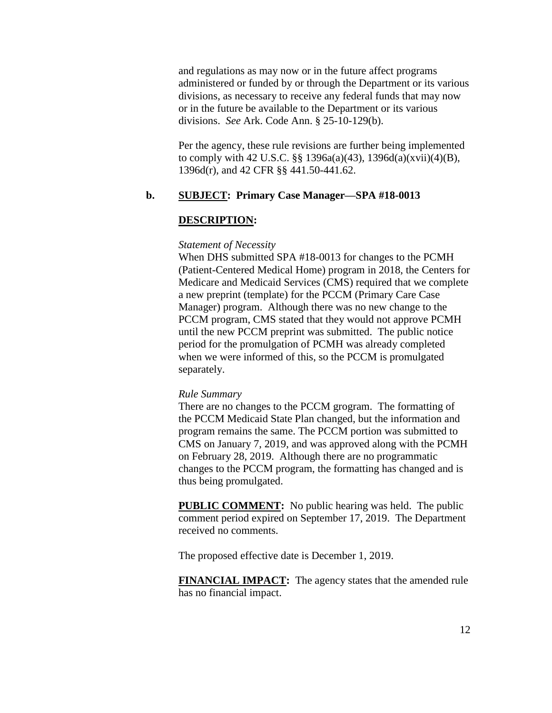and regulations as may now or in the future affect programs administered or funded by or through the Department or its various divisions, as necessary to receive any federal funds that may now or in the future be available to the Department or its various divisions. *See* Ark. Code Ann. § 25-10-129(b).

Per the agency, these rule revisions are further being implemented to comply with 42 U.S.C. §§ 1396a(a)(43), 1396d(a)(xvii)(4)(B), 1396d(r), and 42 CFR §§ 441.50-441.62.

## **b. SUBJECT: Primary Case Manager—SPA #18-0013**

#### **DESCRIPTION:**

#### *Statement of Necessity*

When DHS submitted SPA #18-0013 for changes to the PCMH (Patient-Centered Medical Home) program in 2018, the Centers for Medicare and Medicaid Services (CMS) required that we complete a new preprint (template) for the PCCM (Primary Care Case Manager) program. Although there was no new change to the PCCM program, CMS stated that they would not approve PCMH until the new PCCM preprint was submitted. The public notice period for the promulgation of PCMH was already completed when we were informed of this, so the PCCM is promulgated separately.

#### *Rule Summary*

There are no changes to the PCCM grogram. The formatting of the PCCM Medicaid State Plan changed, but the information and program remains the same. The PCCM portion was submitted to CMS on January 7, 2019, and was approved along with the PCMH on February 28, 2019. Although there are no programmatic changes to the PCCM program, the formatting has changed and is thus being promulgated.

**PUBLIC COMMENT:** No public hearing was held. The public comment period expired on September 17, 2019. The Department received no comments.

The proposed effective date is December 1, 2019.

**FINANCIAL IMPACT:** The agency states that the amended rule has no financial impact.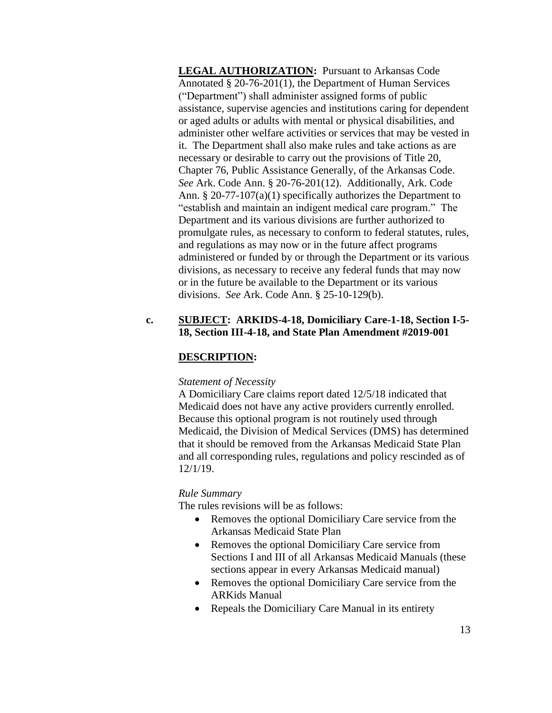**LEGAL AUTHORIZATION:** Pursuant to Arkansas Code Annotated § 20-76-201(1), the Department of Human Services ("Department") shall administer assigned forms of public assistance, supervise agencies and institutions caring for dependent or aged adults or adults with mental or physical disabilities, and administer other welfare activities or services that may be vested in it. The Department shall also make rules and take actions as are necessary or desirable to carry out the provisions of Title 20, Chapter 76, Public Assistance Generally, of the Arkansas Code. *See* Ark. Code Ann. § 20-76-201(12). Additionally, Ark. Code Ann. § 20-77-107(a)(1) specifically authorizes the Department to "establish and maintain an indigent medical care program." The Department and its various divisions are further authorized to promulgate rules, as necessary to conform to federal statutes, rules, and regulations as may now or in the future affect programs administered or funded by or through the Department or its various divisions, as necessary to receive any federal funds that may now or in the future be available to the Department or its various divisions. *See* Ark. Code Ann. § 25-10-129(b).

## **c. SUBJECT: ARKIDS-4-18, Domiciliary Care-1-18, Section I-5- 18, Section III-4-18, and State Plan Amendment #2019-001**

# **DESCRIPTION:**

### *Statement of Necessity*

A Domiciliary Care claims report dated 12/5/18 indicated that Medicaid does not have any active providers currently enrolled. Because this optional program is not routinely used through Medicaid, the Division of Medical Services (DMS) has determined that it should be removed from the Arkansas Medicaid State Plan and all corresponding rules, regulations and policy rescinded as of 12/1/19.

## *Rule Summary*

The rules revisions will be as follows:

- Removes the optional Domiciliary Care service from the Arkansas Medicaid State Plan
- Removes the optional Domiciliary Care service from Sections I and III of all Arkansas Medicaid Manuals (these sections appear in every Arkansas Medicaid manual)
- Removes the optional Domiciliary Care service from the ARKids Manual
- Repeals the Domiciliary Care Manual in its entirety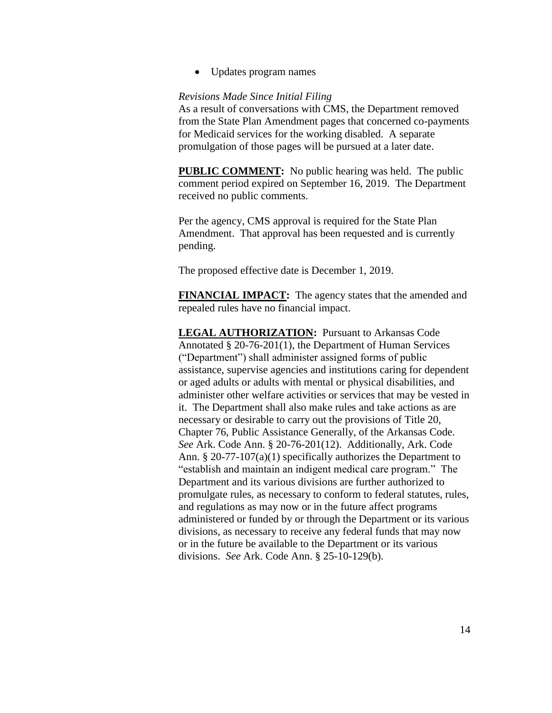Updates program names

### *Revisions Made Since Initial Filing*

As a result of conversations with CMS, the Department removed from the State Plan Amendment pages that concerned co-payments for Medicaid services for the working disabled. A separate promulgation of those pages will be pursued at a later date.

**PUBLIC COMMENT:** No public hearing was held. The public comment period expired on September 16, 2019. The Department received no public comments.

Per the agency, CMS approval is required for the State Plan Amendment. That approval has been requested and is currently pending.

The proposed effective date is December 1, 2019.

**FINANCIAL IMPACT:** The agency states that the amended and repealed rules have no financial impact.

**LEGAL AUTHORIZATION:** Pursuant to Arkansas Code Annotated § 20-76-201(1), the Department of Human Services ("Department") shall administer assigned forms of public assistance, supervise agencies and institutions caring for dependent or aged adults or adults with mental or physical disabilities, and administer other welfare activities or services that may be vested in it. The Department shall also make rules and take actions as are necessary or desirable to carry out the provisions of Title 20, Chapter 76, Public Assistance Generally, of the Arkansas Code. *See* Ark. Code Ann. § 20-76-201(12). Additionally, Ark. Code Ann. § 20-77-107(a)(1) specifically authorizes the Department to "establish and maintain an indigent medical care program." The Department and its various divisions are further authorized to promulgate rules, as necessary to conform to federal statutes, rules, and regulations as may now or in the future affect programs administered or funded by or through the Department or its various divisions, as necessary to receive any federal funds that may now or in the future be available to the Department or its various divisions. *See* Ark. Code Ann. § 25-10-129(b).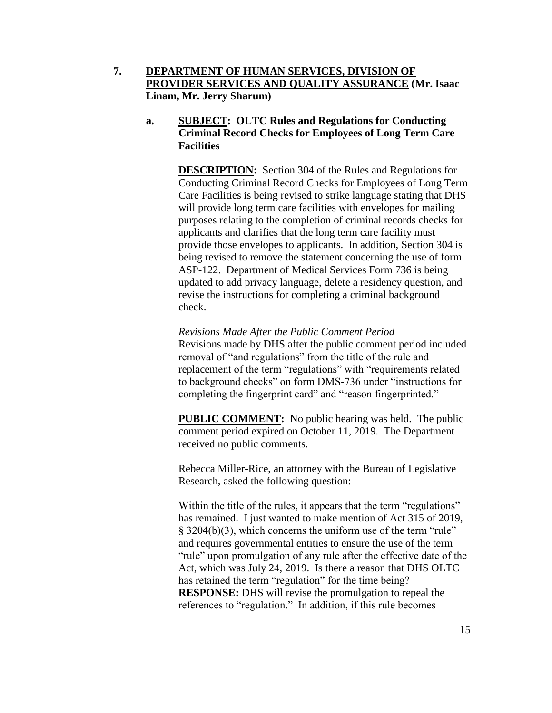**7. DEPARTMENT OF HUMAN SERVICES, DIVISION OF PROVIDER SERVICES AND QUALITY ASSURANCE (Mr. Isaac Linam, Mr. Jerry Sharum)**

# **a. SUBJECT: OLTC Rules and Regulations for Conducting Criminal Record Checks for Employees of Long Term Care Facilities**

**DESCRIPTION:** Section 304 of the Rules and Regulations for Conducting Criminal Record Checks for Employees of Long Term Care Facilities is being revised to strike language stating that DHS will provide long term care facilities with envelopes for mailing purposes relating to the completion of criminal records checks for applicants and clarifies that the long term care facility must provide those envelopes to applicants. In addition, Section 304 is being revised to remove the statement concerning the use of form ASP-122. Department of Medical Services Form 736 is being updated to add privacy language, delete a residency question, and revise the instructions for completing a criminal background check.

*Revisions Made After the Public Comment Period* Revisions made by DHS after the public comment period included removal of "and regulations" from the title of the rule and replacement of the term "regulations" with "requirements related to background checks" on form DMS-736 under "instructions for completing the fingerprint card" and "reason fingerprinted."

**PUBLIC COMMENT:** No public hearing was held. The public comment period expired on October 11, 2019. The Department received no public comments.

Rebecca Miller-Rice, an attorney with the Bureau of Legislative Research, asked the following question:

Within the title of the rules, it appears that the term "regulations" has remained. I just wanted to make mention of Act 315 of 2019, § 3204(b)(3), which concerns the uniform use of the term "rule" and requires governmental entities to ensure the use of the term "rule" upon promulgation of any rule after the effective date of the Act, which was July 24, 2019. Is there a reason that DHS OLTC has retained the term "regulation" for the time being? **RESPONSE:** DHS will revise the promulgation to repeal the references to "regulation." In addition, if this rule becomes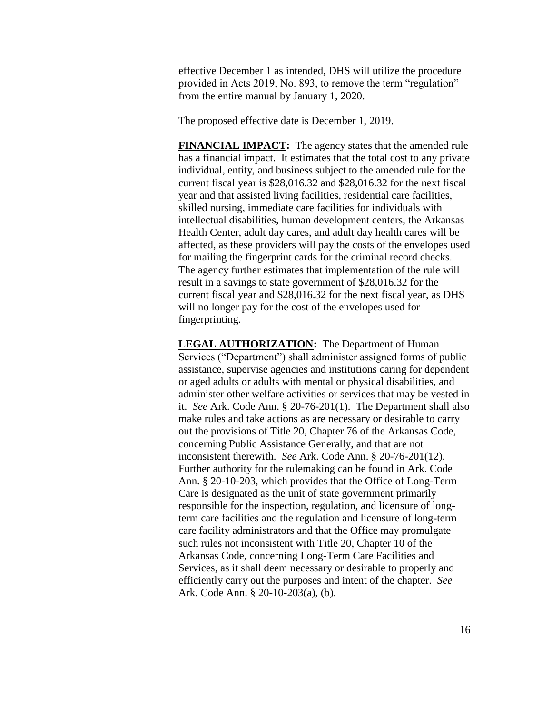effective December 1 as intended, DHS will utilize the procedure provided in Acts 2019, No. 893, to remove the term "regulation" from the entire manual by January 1, 2020.

The proposed effective date is December 1, 2019.

**FINANCIAL IMPACT:** The agency states that the amended rule has a financial impact. It estimates that the total cost to any private individual, entity, and business subject to the amended rule for the current fiscal year is \$28,016.32 and \$28,016.32 for the next fiscal year and that assisted living facilities, residential care facilities, skilled nursing, immediate care facilities for individuals with intellectual disabilities, human development centers, the Arkansas Health Center, adult day cares, and adult day health cares will be affected, as these providers will pay the costs of the envelopes used for mailing the fingerprint cards for the criminal record checks. The agency further estimates that implementation of the rule will result in a savings to state government of \$28,016.32 for the current fiscal year and \$28,016.32 for the next fiscal year, as DHS will no longer pay for the cost of the envelopes used for fingerprinting.

**LEGAL AUTHORIZATION:** The Department of Human Services ("Department") shall administer assigned forms of public assistance, supervise agencies and institutions caring for dependent or aged adults or adults with mental or physical disabilities, and administer other welfare activities or services that may be vested in it. *See* Ark. Code Ann. § 20-76-201(1). The Department shall also make rules and take actions as are necessary or desirable to carry out the provisions of Title 20, Chapter 76 of the Arkansas Code, concerning Public Assistance Generally, and that are not inconsistent therewith. *See* Ark. Code Ann. § 20-76-201(12). Further authority for the rulemaking can be found in Ark. Code Ann. § 20-10-203, which provides that the Office of Long-Term Care is designated as the unit of state government primarily responsible for the inspection, regulation, and licensure of longterm care facilities and the regulation and licensure of long-term care facility administrators and that the Office may promulgate such rules not inconsistent with Title 20, Chapter 10 of the Arkansas Code, concerning Long-Term Care Facilities and Services, as it shall deem necessary or desirable to properly and efficiently carry out the purposes and intent of the chapter. *See* Ark. Code Ann. § 20-10-203(a), (b).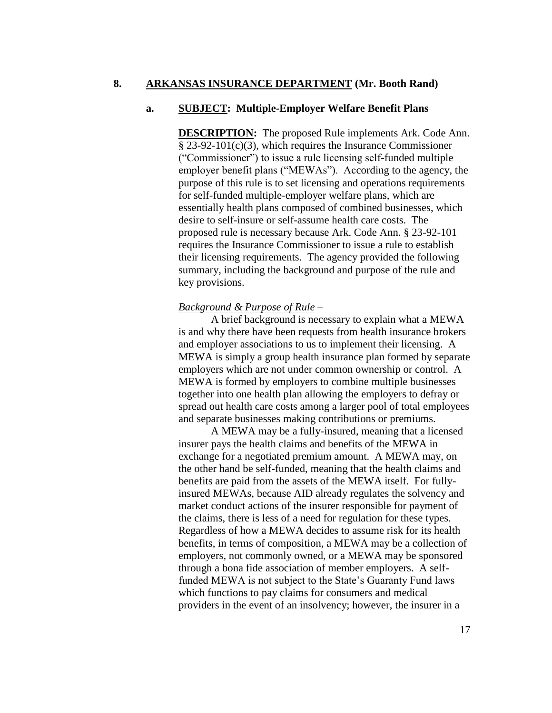## **8. ARKANSAS INSURANCE DEPARTMENT (Mr. Booth Rand)**

### **a. SUBJECT: Multiple-Employer Welfare Benefit Plans**

**DESCRIPTION:** The proposed Rule implements Ark. Code Ann. § 23-92-101(c)(3), which requires the Insurance Commissioner ("Commissioner") to issue a rule licensing self-funded multiple employer benefit plans ("MEWAs"). According to the agency, the purpose of this rule is to set licensing and operations requirements for self-funded multiple-employer welfare plans, which are essentially health plans composed of combined businesses, which desire to self-insure or self-assume health care costs. The proposed rule is necessary because Ark. Code Ann. § 23-92-101 requires the Insurance Commissioner to issue a rule to establish their licensing requirements. The agency provided the following summary, including the background and purpose of the rule and key provisions.

### *Background & Purpose of Rule –*

A brief background is necessary to explain what a MEWA is and why there have been requests from health insurance brokers and employer associations to us to implement their licensing. A MEWA is simply a group health insurance plan formed by separate employers which are not under common ownership or control. A MEWA is formed by employers to combine multiple businesses together into one health plan allowing the employers to defray or spread out health care costs among a larger pool of total employees and separate businesses making contributions or premiums.

A MEWA may be a fully-insured, meaning that a licensed insurer pays the health claims and benefits of the MEWA in exchange for a negotiated premium amount. A MEWA may, on the other hand be self-funded, meaning that the health claims and benefits are paid from the assets of the MEWA itself. For fullyinsured MEWAs, because AID already regulates the solvency and market conduct actions of the insurer responsible for payment of the claims, there is less of a need for regulation for these types. Regardless of how a MEWA decides to assume risk for its health benefits, in terms of composition, a MEWA may be a collection of employers, not commonly owned, or a MEWA may be sponsored through a bona fide association of member employers. A selffunded MEWA is not subject to the State's Guaranty Fund laws which functions to pay claims for consumers and medical providers in the event of an insolvency; however, the insurer in a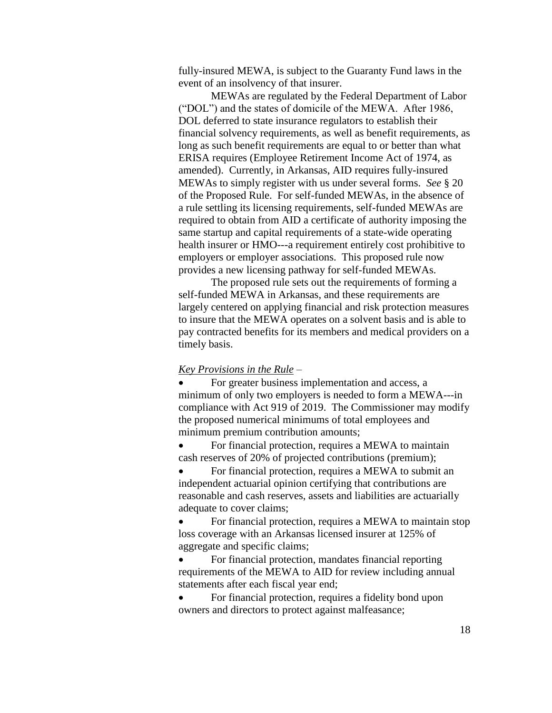fully-insured MEWA, is subject to the Guaranty Fund laws in the event of an insolvency of that insurer.

MEWAs are regulated by the Federal Department of Labor ("DOL") and the states of domicile of the MEWA. After 1986, DOL deferred to state insurance regulators to establish their financial solvency requirements, as well as benefit requirements, as long as such benefit requirements are equal to or better than what ERISA requires (Employee Retirement Income Act of 1974, as amended). Currently, in Arkansas, AID requires fully-insured MEWAs to simply register with us under several forms. *See* § 20 of the Proposed Rule. For self-funded MEWAs, in the absence of a rule settling its licensing requirements, self-funded MEWAs are required to obtain from AID a certificate of authority imposing the same startup and capital requirements of a state-wide operating health insurer or HMO---a requirement entirely cost prohibitive to employers or employer associations. This proposed rule now provides a new licensing pathway for self-funded MEWAs.

The proposed rule sets out the requirements of forming a self-funded MEWA in Arkansas, and these requirements are largely centered on applying financial and risk protection measures to insure that the MEWA operates on a solvent basis and is able to pay contracted benefits for its members and medical providers on a timely basis.

### *Key Provisions in the Rule –*

 For greater business implementation and access, a minimum of only two employers is needed to form a MEWA---in compliance with Act 919 of 2019. The Commissioner may modify the proposed numerical minimums of total employees and minimum premium contribution amounts;

 For financial protection, requires a MEWA to maintain cash reserves of 20% of projected contributions (premium);

 For financial protection, requires a MEWA to submit an independent actuarial opinion certifying that contributions are reasonable and cash reserves, assets and liabilities are actuarially adequate to cover claims;

 For financial protection, requires a MEWA to maintain stop loss coverage with an Arkansas licensed insurer at 125% of aggregate and specific claims;

 For financial protection, mandates financial reporting requirements of the MEWA to AID for review including annual statements after each fiscal year end;

 For financial protection, requires a fidelity bond upon owners and directors to protect against malfeasance;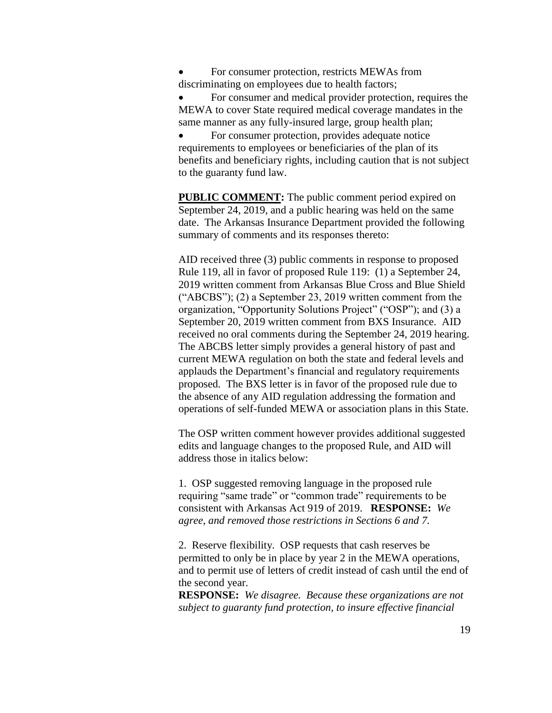For consumer protection, restricts MEWAs from discriminating on employees due to health factors;

 For consumer and medical provider protection, requires the MEWA to cover State required medical coverage mandates in the same manner as any fully-insured large, group health plan;

 For consumer protection, provides adequate notice requirements to employees or beneficiaries of the plan of its benefits and beneficiary rights, including caution that is not subject to the guaranty fund law.

**PUBLIC COMMENT:** The public comment period expired on September 24, 2019, and a public hearing was held on the same date. The Arkansas Insurance Department provided the following summary of comments and its responses thereto:

AID received three (3) public comments in response to proposed Rule 119, all in favor of proposed Rule 119: (1) a September 24, 2019 written comment from Arkansas Blue Cross and Blue Shield ("ABCBS"); (2) a September 23, 2019 written comment from the organization, "Opportunity Solutions Project" ("OSP"); and (3) a September 20, 2019 written comment from BXS Insurance. AID received no oral comments during the September 24, 2019 hearing. The ABCBS letter simply provides a general history of past and current MEWA regulation on both the state and federal levels and applauds the Department's financial and regulatory requirements proposed. The BXS letter is in favor of the proposed rule due to the absence of any AID regulation addressing the formation and operations of self-funded MEWA or association plans in this State.

The OSP written comment however provides additional suggested edits and language changes to the proposed Rule, and AID will address those in italics below:

1. OSP suggested removing language in the proposed rule requiring "same trade" or "common trade" requirements to be consistent with Arkansas Act 919 of 2019. **RESPONSE:** *We agree, and removed those restrictions in Sections 6 and 7.* 

2. Reserve flexibility. OSP requests that cash reserves be permitted to only be in place by year 2 in the MEWA operations, and to permit use of letters of credit instead of cash until the end of the second year.

**RESPONSE:** *We disagree. Because these organizations are not subject to guaranty fund protection, to insure effective financial*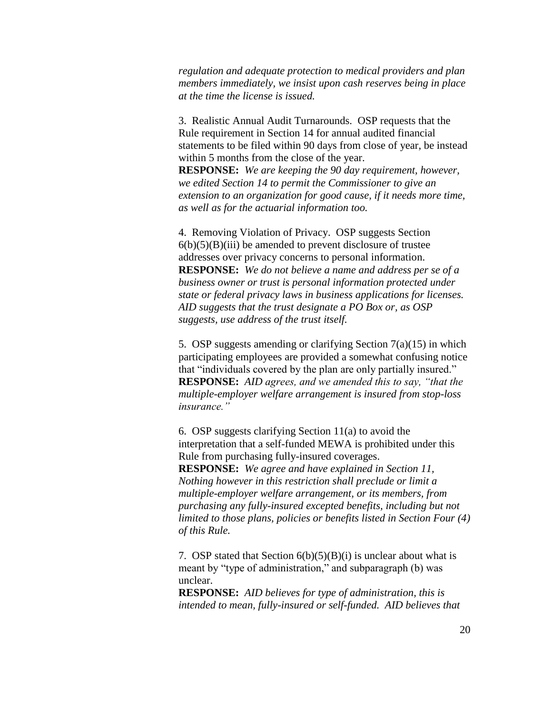*regulation and adequate protection to medical providers and plan members immediately, we insist upon cash reserves being in place at the time the license is issued.*

3. Realistic Annual Audit Turnarounds. OSP requests that the Rule requirement in Section 14 for annual audited financial statements to be filed within 90 days from close of year, be instead within 5 months from the close of the year.

**RESPONSE:** *We are keeping the 90 day requirement, however, we edited Section 14 to permit the Commissioner to give an extension to an organization for good cause, if it needs more time, as well as for the actuarial information too.* 

4. Removing Violation of Privacy. OSP suggests Section  $6(b)(5)(B)(iii)$  be amended to prevent disclosure of trustee addresses over privacy concerns to personal information. **RESPONSE:** *We do not believe a name and address per se of a business owner or trust is personal information protected under state or federal privacy laws in business applications for licenses. AID suggests that the trust designate a PO Box or, as OSP suggests, use address of the trust itself.* 

5. OSP suggests amending or clarifying Section 7(a)(15) in which participating employees are provided a somewhat confusing notice that "individuals covered by the plan are only partially insured." **RESPONSE:** *AID agrees, and we amended this to say, "that the multiple-employer welfare arrangement is insured from stop-loss insurance."*

6. OSP suggests clarifying Section 11(a) to avoid the interpretation that a self-funded MEWA is prohibited under this Rule from purchasing fully-insured coverages.

**RESPONSE:** *We agree and have explained in Section 11, Nothing however in this restriction shall preclude or limit a multiple-employer welfare arrangement, or its members, from purchasing any fully-insured excepted benefits, including but not limited to those plans, policies or benefits listed in Section Four (4) of this Rule.*

7. OSP stated that Section  $6(b)(5)(B)(i)$  is unclear about what is meant by "type of administration," and subparagraph (b) was unclear.

**RESPONSE:** *AID believes for type of administration, this is intended to mean, fully-insured or self-funded. AID believes that*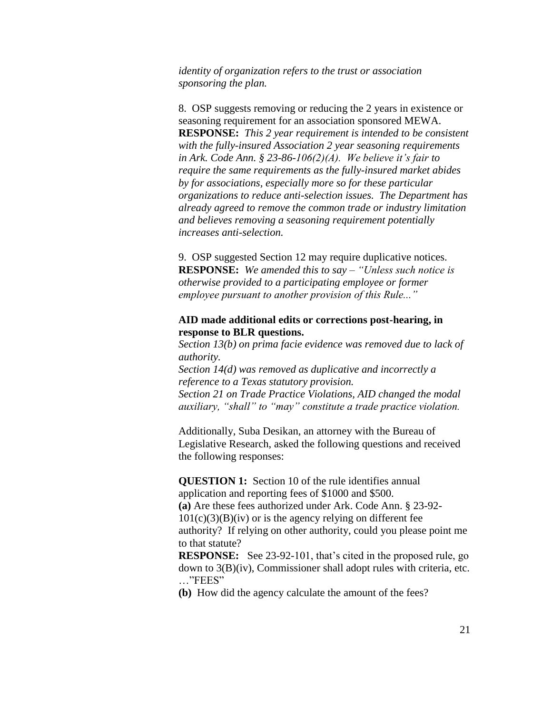*identity of organization refers to the trust or association sponsoring the plan.* 

8. OSP suggests removing or reducing the 2 years in existence or seasoning requirement for an association sponsored MEWA. **RESPONSE:** *This 2 year requirement is intended to be consistent with the fully-insured Association 2 year seasoning requirements in Ark. Code Ann. § 23-86-106(2)(A). We believe it's fair to require the same requirements as the fully-insured market abides by for associations, especially more so for these particular organizations to reduce anti-selection issues. The Department has already agreed to remove the common trade or industry limitation and believes removing a seasoning requirement potentially increases anti-selection.* 

9. OSP suggested Section 12 may require duplicative notices. **RESPONSE:** *We amended this to say – "Unless such notice is otherwise provided to a participating employee or former employee pursuant to another provision of this Rule..."*

## **AID made additional edits or corrections post-hearing, in response to BLR questions.**

*Section 13(b) on prima facie evidence was removed due to lack of authority.*

*Section 14(d) was removed as duplicative and incorrectly a reference to a Texas statutory provision.*

*Section 21 on Trade Practice Violations, AID changed the modal auxiliary, "shall" to "may" constitute a trade practice violation.* 

Additionally, Suba Desikan, an attorney with the Bureau of Legislative Research, asked the following questions and received the following responses:

**QUESTION 1:** Section 10 of the rule identifies annual application and reporting fees of \$1000 and \$500.

**(a)** Are these fees authorized under Ark. Code Ann. § 23-92-  $101(c)(3)(B)(iv)$  or is the agency relying on different fee

authority? If relying on other authority, could you please point me to that statute?

**RESPONSE:** See 23-92-101, that's cited in the proposed rule, go down to 3(B)(iv), Commissioner shall adopt rules with criteria, etc. …"FEES"

**(b)** How did the agency calculate the amount of the fees?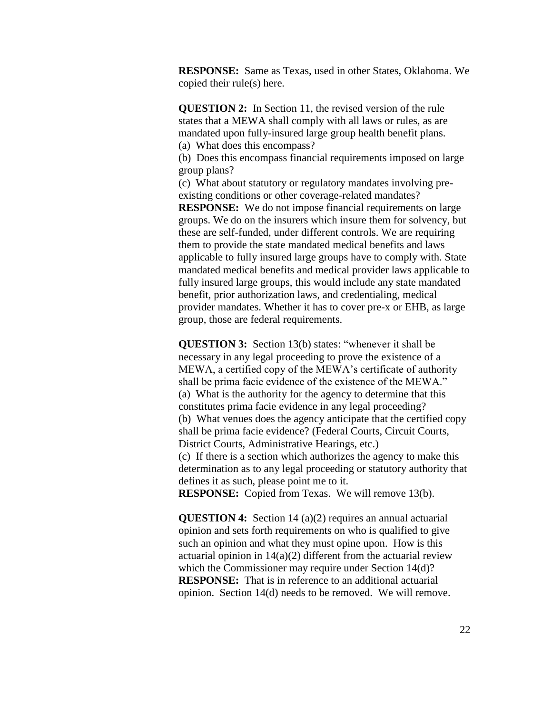**RESPONSE:** Same as Texas, used in other States, Oklahoma. We copied their rule(s) here.

**QUESTION 2:** In Section 11, the revised version of the rule states that a MEWA shall comply with all laws or rules, as are mandated upon fully-insured large group health benefit plans. (a) What does this encompass?

(b) Does this encompass financial requirements imposed on large group plans?

(c) What about statutory or regulatory mandates involving preexisting conditions or other coverage-related mandates?

**RESPONSE:** We do not impose financial requirements on large groups. We do on the insurers which insure them for solvency, but these are self-funded, under different controls. We are requiring them to provide the state mandated medical benefits and laws applicable to fully insured large groups have to comply with. State mandated medical benefits and medical provider laws applicable to fully insured large groups, this would include any state mandated benefit, prior authorization laws, and credentialing, medical provider mandates. Whether it has to cover pre-x or EHB, as large group, those are federal requirements.

**QUESTION 3:** Section 13(b) states: "whenever it shall be necessary in any legal proceeding to prove the existence of a MEWA, a certified copy of the MEWA's certificate of authority shall be prima facie evidence of the existence of the MEWA." (a) What is the authority for the agency to determine that this constitutes prima facie evidence in any legal proceeding? (b) What venues does the agency anticipate that the certified copy shall be prima facie evidence? (Federal Courts, Circuit Courts, District Courts, Administrative Hearings, etc.) (c) If there is a section which authorizes the agency to make this

determination as to any legal proceeding or statutory authority that defines it as such, please point me to it.

**RESPONSE:** Copied from Texas. We will remove 13(b).

**QUESTION 4:** Section 14 (a)(2) requires an annual actuarial opinion and sets forth requirements on who is qualified to give such an opinion and what they must opine upon. How is this actuarial opinion in  $14(a)(2)$  different from the actuarial review which the Commissioner may require under Section 14(d)? **RESPONSE:** That is in reference to an additional actuarial opinion. Section 14(d) needs to be removed. We will remove.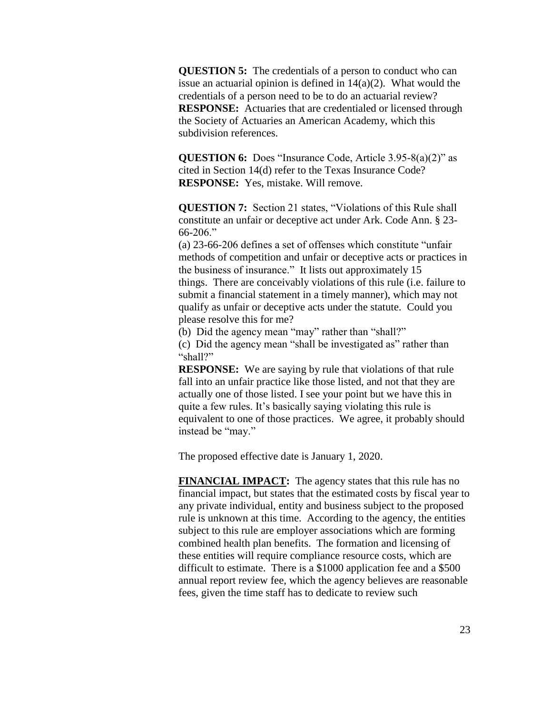**QUESTION 5:** The credentials of a person to conduct who can issue an actuarial opinion is defined in  $14(a)(2)$ . What would the credentials of a person need to be to do an actuarial review? **RESPONSE:** Actuaries that are credentialed or licensed through the Society of Actuaries an American Academy, which this subdivision references.

**QUESTION 6:** Does "Insurance Code, Article 3.95-8(a)(2)" as cited in Section 14(d) refer to the Texas Insurance Code? **RESPONSE:** Yes, mistake. Will remove.

**QUESTION 7:** Section 21 states, "Violations of this Rule shall constitute an unfair or deceptive act under Ark. Code Ann. § 23- 66-206."

(a) 23-66-206 defines a set of offenses which constitute "unfair methods of competition and unfair or deceptive acts or practices in the business of insurance." It lists out approximately 15 things. There are conceivably violations of this rule (i.e. failure to submit a financial statement in a timely manner), which may not qualify as unfair or deceptive acts under the statute. Could you please resolve this for me?

(b) Did the agency mean "may" rather than "shall?"

(c) Did the agency mean "shall be investigated as" rather than "shall?"

**RESPONSE:** We are saying by rule that violations of that rule fall into an unfair practice like those listed, and not that they are actually one of those listed. I see your point but we have this in quite a few rules. It's basically saying violating this rule is equivalent to one of those practices. We agree, it probably should instead be "may."

The proposed effective date is January 1, 2020.

**FINANCIAL IMPACT:** The agency states that this rule has no financial impact, but states that the estimated costs by fiscal year to any private individual, entity and business subject to the proposed rule is unknown at this time. According to the agency, the entities subject to this rule are employer associations which are forming combined health plan benefits. The formation and licensing of these entities will require compliance resource costs, which are difficult to estimate. There is a \$1000 application fee and a \$500 annual report review fee, which the agency believes are reasonable fees, given the time staff has to dedicate to review such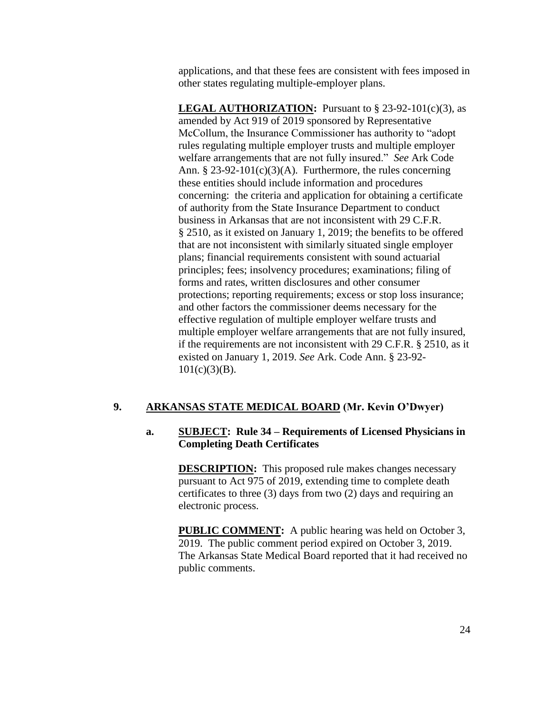applications, and that these fees are consistent with fees imposed in other states regulating multiple-employer plans.

**LEGAL AUTHORIZATION:** Pursuant to  $\S$  23-92-101(c)(3), as amended by Act 919 of 2019 sponsored by Representative McCollum, the Insurance Commissioner has authority to "adopt rules regulating multiple employer trusts and multiple employer welfare arrangements that are not fully insured." *See* Ark Code Ann. § 23-92-101 $(c)(3)(A)$ . Furthermore, the rules concerning these entities should include information and procedures concerning: the criteria and application for obtaining a certificate of authority from the State Insurance Department to conduct business in Arkansas that are not inconsistent with 29 C.F.R. § 2510, as it existed on January 1, 2019; the benefits to be offered that are not inconsistent with similarly situated single employer plans; financial requirements consistent with sound actuarial principles; fees; insolvency procedures; examinations; filing of forms and rates, written disclosures and other consumer protections; reporting requirements; excess or stop loss insurance; and other factors the commissioner deems necessary for the effective regulation of multiple employer welfare trusts and multiple employer welfare arrangements that are not fully insured, if the requirements are not inconsistent with 29 C.F.R. § 2510, as it existed on January 1, 2019. *See* Ark. Code Ann. § 23-92-  $101(c)(3)(B)$ .

# **9. ARKANSAS STATE MEDICAL BOARD (Mr. Kevin O'Dwyer)**

# **a. SUBJECT: Rule 34 – Requirements of Licensed Physicians in Completing Death Certificates**

**DESCRIPTION:** This proposed rule makes changes necessary pursuant to Act 975 of 2019, extending time to complete death certificates to three (3) days from two (2) days and requiring an electronic process.

**PUBLIC COMMENT:** A public hearing was held on October 3, 2019. The public comment period expired on October 3, 2019. The Arkansas State Medical Board reported that it had received no public comments.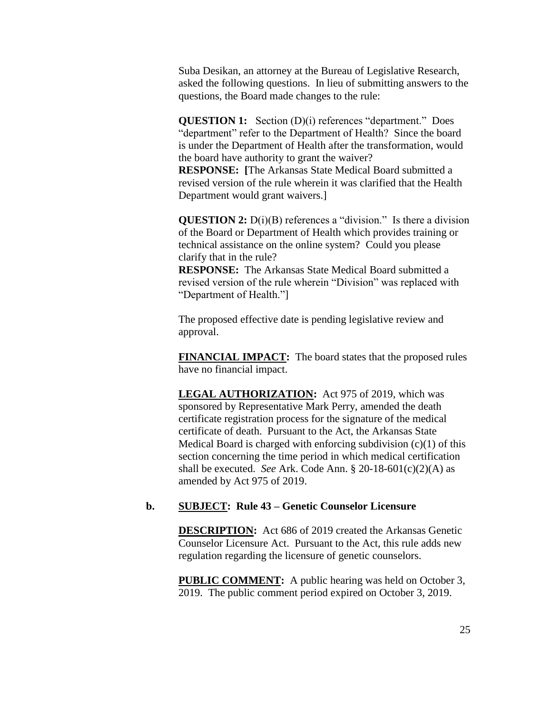Suba Desikan, an attorney at the Bureau of Legislative Research, asked the following questions. In lieu of submitting answers to the questions, the Board made changes to the rule:

**QUESTION 1:** Section (D)(i) references "department." Does "department" refer to the Department of Health? Since the board is under the Department of Health after the transformation, would the board have authority to grant the waiver?

**RESPONSE: [**The Arkansas State Medical Board submitted a revised version of the rule wherein it was clarified that the Health Department would grant waivers.]

**QUESTION 2:** D(i)(B) references a "division." Is there a division of the Board or Department of Health which provides training or technical assistance on the online system? Could you please clarify that in the rule?

**RESPONSE:** The Arkansas State Medical Board submitted a revised version of the rule wherein "Division" was replaced with "Department of Health."]

The proposed effective date is pending legislative review and approval.

**FINANCIAL IMPACT:** The board states that the proposed rules have no financial impact.

**LEGAL AUTHORIZATION:** Act 975 of 2019, which was sponsored by Representative Mark Perry, amended the death certificate registration process for the signature of the medical certificate of death. Pursuant to the Act, the Arkansas State Medical Board is charged with enforcing subdivision (c)(1) of this section concerning the time period in which medical certification shall be executed. *See* Ark. Code Ann. § 20-18-601(c)(2)(A) as amended by Act 975 of 2019.

#### **b. SUBJECT: Rule 43 – Genetic Counselor Licensure**

**DESCRIPTION:** Act 686 of 2019 created the Arkansas Genetic Counselor Licensure Act. Pursuant to the Act, this rule adds new regulation regarding the licensure of genetic counselors.

**PUBLIC COMMENT:** A public hearing was held on October 3, 2019. The public comment period expired on October 3, 2019.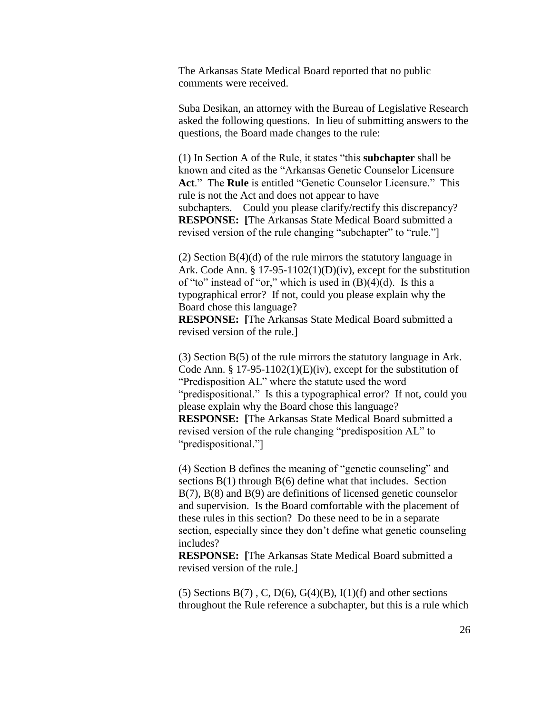The Arkansas State Medical Board reported that no public comments were received.

Suba Desikan, an attorney with the Bureau of Legislative Research asked the following questions. In lieu of submitting answers to the questions, the Board made changes to the rule:

(1) In Section A of the Rule, it states "this **subchapter** shall be known and cited as the "Arkansas Genetic Counselor Licensure **Act**." The **Rule** is entitled "Genetic Counselor Licensure." This rule is not the Act and does not appear to have subchapters. Could you please clarify/rectify this discrepancy? **RESPONSE: [**The Arkansas State Medical Board submitted a revised version of the rule changing "subchapter" to "rule."]

(2) Section  $B(4)(d)$  of the rule mirrors the statutory language in Ark. Code Ann. § 17-95-1102(1)(D)(iv), except for the substitution of "to" instead of "or," which is used in  $(B)(4)(d)$ . Is this a typographical error? If not, could you please explain why the Board chose this language?

**RESPONSE: [**The Arkansas State Medical Board submitted a revised version of the rule.]

(3) Section B(5) of the rule mirrors the statutory language in Ark. Code Ann.  $\S 17-95-1102(1)(E)(iv)$ , except for the substitution of "Predisposition AL" where the statute used the word "predispositional." Is this a typographical error? If not, could you please explain why the Board chose this language? **RESPONSE: [**The Arkansas State Medical Board submitted a revised version of the rule changing "predisposition AL" to "predispositional."]

(4) Section B defines the meaning of "genetic counseling" and sections B(1) through B(6) define what that includes. Section B(7), B(8) and B(9) are definitions of licensed genetic counselor and supervision. Is the Board comfortable with the placement of these rules in this section? Do these need to be in a separate section, especially since they don't define what genetic counseling includes?

**RESPONSE: [**The Arkansas State Medical Board submitted a revised version of the rule.]

(5) Sections  $B(7)$ , C, D(6), G(4)(B), I(1)(f) and other sections throughout the Rule reference a subchapter, but this is a rule which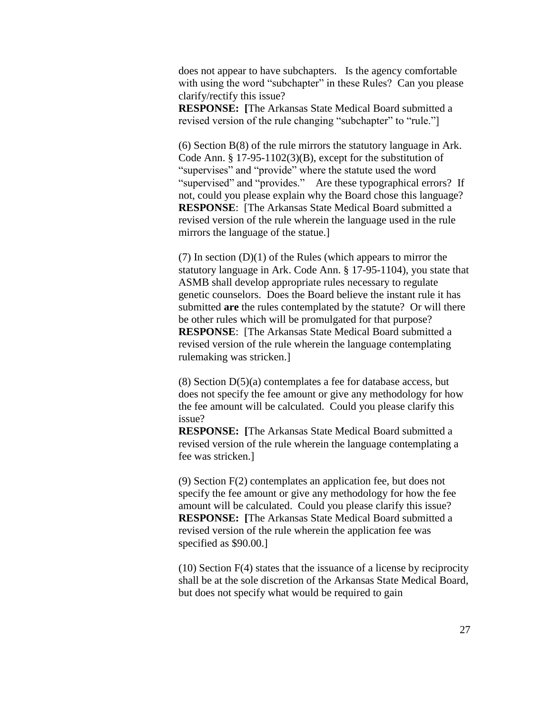does not appear to have subchapters. Is the agency comfortable with using the word "subchapter" in these Rules? Can you please clarify/rectify this issue?

**RESPONSE: [**The Arkansas State Medical Board submitted a revised version of the rule changing "subchapter" to "rule."]

(6) Section B(8) of the rule mirrors the statutory language in Ark. Code Ann. § 17-95-1102(3)(B), except for the substitution of "supervises" and "provide" where the statute used the word "supervised" and "provides." Are these typographical errors? If not, could you please explain why the Board chose this language? **RESPONSE**: [The Arkansas State Medical Board submitted a revised version of the rule wherein the language used in the rule mirrors the language of the statue.]

 $(7)$  In section  $(D)(1)$  of the Rules (which appears to mirror the statutory language in Ark. Code Ann. § 17-95-1104), you state that ASMB shall develop appropriate rules necessary to regulate genetic counselors. Does the Board believe the instant rule it has submitted **are** the rules contemplated by the statute? Or will there be other rules which will be promulgated for that purpose? **RESPONSE**: [The Arkansas State Medical Board submitted a revised version of the rule wherein the language contemplating rulemaking was stricken.]

 $(8)$  Section  $D(5)(a)$  contemplates a fee for database access, but does not specify the fee amount or give any methodology for how the fee amount will be calculated. Could you please clarify this issue?

**RESPONSE: [**The Arkansas State Medical Board submitted a revised version of the rule wherein the language contemplating a fee was stricken.]

(9) Section F(2) contemplates an application fee, but does not specify the fee amount or give any methodology for how the fee amount will be calculated. Could you please clarify this issue? **RESPONSE: [**The Arkansas State Medical Board submitted a revised version of the rule wherein the application fee was specified as \$90.00.]

(10) Section F(4) states that the issuance of a license by reciprocity shall be at the sole discretion of the Arkansas State Medical Board, but does not specify what would be required to gain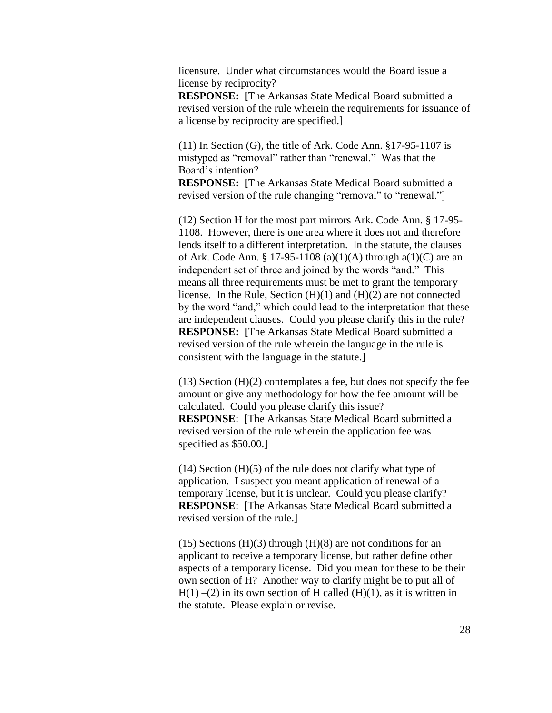licensure. Under what circumstances would the Board issue a license by reciprocity?

**RESPONSE: [**The Arkansas State Medical Board submitted a revised version of the rule wherein the requirements for issuance of a license by reciprocity are specified.]

(11) In Section (G), the title of Ark. Code Ann. §17-95-1107 is mistyped as "removal" rather than "renewal." Was that the Board's intention?

**RESPONSE: [**The Arkansas State Medical Board submitted a revised version of the rule changing "removal" to "renewal."

(12) Section H for the most part mirrors Ark. Code Ann. § 17-95- 1108. However, there is one area where it does not and therefore lends itself to a different interpretation. In the statute, the clauses of Ark. Code Ann. § 17-95-1108 (a)(1)(A) through  $a(1)(C)$  are an independent set of three and joined by the words "and." This means all three requirements must be met to grant the temporary license. In the Rule, Section (H)(1) and (H)(2) are not connected by the word "and," which could lead to the interpretation that these are independent clauses. Could you please clarify this in the rule? **RESPONSE: [**The Arkansas State Medical Board submitted a revised version of the rule wherein the language in the rule is consistent with the language in the statute.]

 $(13)$  Section  $(H)(2)$  contemplates a fee, but does not specify the fee amount or give any methodology for how the fee amount will be calculated. Could you please clarify this issue? **RESPONSE**: [The Arkansas State Medical Board submitted a revised version of the rule wherein the application fee was specified as \$50.00.]

 $(14)$  Section  $(H)(5)$  of the rule does not clarify what type of application. I suspect you meant application of renewal of a temporary license, but it is unclear. Could you please clarify? **RESPONSE**: [The Arkansas State Medical Board submitted a revised version of the rule.]

 $(15)$  Sections  $(H)(3)$  through  $(H)(8)$  are not conditions for an applicant to receive a temporary license, but rather define other aspects of a temporary license. Did you mean for these to be their own section of H? Another way to clarify might be to put all of  $H(1)$  –(2) in its own section of H called (H)(1), as it is written in the statute. Please explain or revise.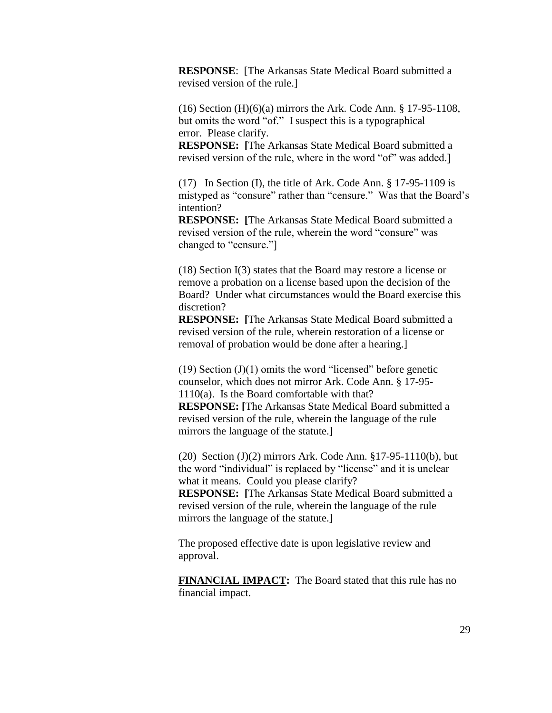**RESPONSE**: [The Arkansas State Medical Board submitted a revised version of the rule.]

(16) Section (H)(6)(a) mirrors the Ark. Code Ann. § 17-95-1108, but omits the word "of." I suspect this is a typographical error. Please clarify.

**RESPONSE: [**The Arkansas State Medical Board submitted a revised version of the rule, where in the word "of" was added.]

(17) In Section (I), the title of Ark. Code Ann. § 17-95-1109 is mistyped as "consure" rather than "censure." Was that the Board's intention?

**RESPONSE: [**The Arkansas State Medical Board submitted a revised version of the rule, wherein the word "consure" was changed to "censure."]

(18) Section I(3) states that the Board may restore a license or remove a probation on a license based upon the decision of the Board? Under what circumstances would the Board exercise this discretion?

**RESPONSE: [**The Arkansas State Medical Board submitted a revised version of the rule, wherein restoration of a license or removal of probation would be done after a hearing.]

 $(19)$  Section  $(J)(1)$  omits the word "licensed" before genetic counselor, which does not mirror Ark. Code Ann. § 17-95- 1110(a). Is the Board comfortable with that? **RESPONSE: [**The Arkansas State Medical Board submitted a revised version of the rule, wherein the language of the rule mirrors the language of the statute.]

(20) Section (J)(2) mirrors Ark. Code Ann. §17-95-1110(b), but the word "individual" is replaced by "license" and it is unclear what it means. Could you please clarify? **RESPONSE: [**The Arkansas State Medical Board submitted a revised version of the rule, wherein the language of the rule mirrors the language of the statute.]

The proposed effective date is upon legislative review and approval.

**FINANCIAL IMPACT:** The Board stated that this rule has no financial impact.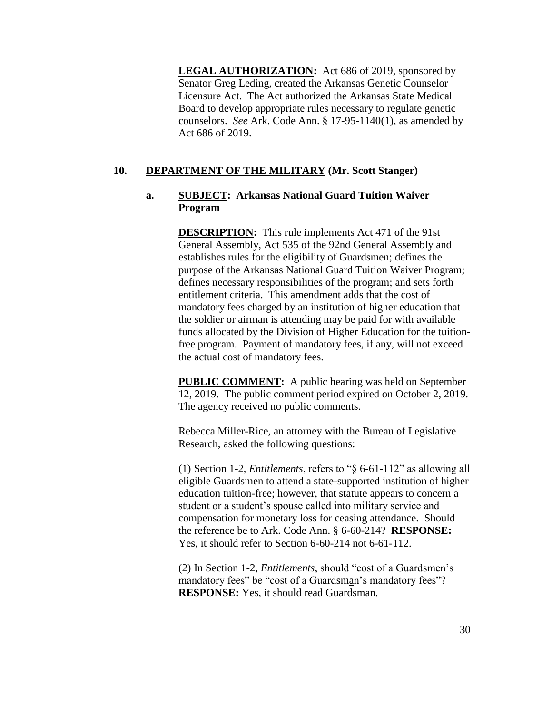**LEGAL AUTHORIZATION:** Act 686 of 2019, sponsored by Senator Greg Leding, created the Arkansas Genetic Counselor Licensure Act. The Act authorized the Arkansas State Medical Board to develop appropriate rules necessary to regulate genetic counselors. *See* Ark. Code Ann. § 17-95-1140(1), as amended by Act 686 of 2019.

# **10. DEPARTMENT OF THE MILITARY (Mr. Scott Stanger)**

## **a. SUBJECT: Arkansas National Guard Tuition Waiver Program**

**DESCRIPTION:** This rule implements Act 471 of the 91st General Assembly, Act 535 of the 92nd General Assembly and establishes rules for the eligibility of Guardsmen; defines the purpose of the Arkansas National Guard Tuition Waiver Program; defines necessary responsibilities of the program; and sets forth entitlement criteria. This amendment adds that the cost of mandatory fees charged by an institution of higher education that the soldier or airman is attending may be paid for with available funds allocated by the Division of Higher Education for the tuitionfree program. Payment of mandatory fees, if any, will not exceed the actual cost of mandatory fees.

**PUBLIC COMMENT:** A public hearing was held on September 12, 2019. The public comment period expired on October 2, 2019. The agency received no public comments.

Rebecca Miller-Rice, an attorney with the Bureau of Legislative Research, asked the following questions:

(1) Section 1-2, *Entitlements*, refers to "§ 6-61-112" as allowing all eligible Guardsmen to attend a state-supported institution of higher education tuition-free; however, that statute appears to concern a student or a student's spouse called into military service and compensation for monetary loss for ceasing attendance. Should the reference be to Ark. Code Ann. § 6-60-214? **RESPONSE:** Yes, it should refer to Section 6-60-214 not 6-61-112.

(2) In Section 1-2, *Entitlements*, should "cost of a Guardsmen's mandatory fees" be "cost of a Guardsman's mandatory fees"? **RESPONSE:** Yes, it should read Guardsman.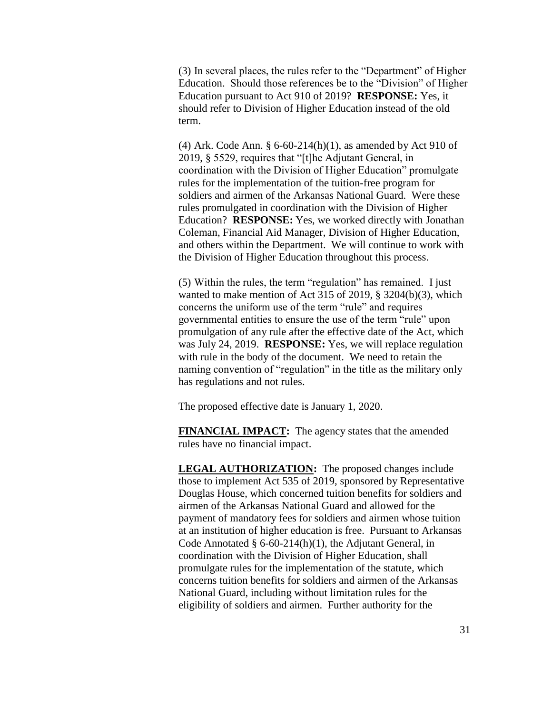(3) In several places, the rules refer to the "Department" of Higher Education. Should those references be to the "Division" of Higher Education pursuant to Act 910 of 2019? **RESPONSE:** Yes, it should refer to Division of Higher Education instead of the old term.

(4) Ark. Code Ann.  $\S 6-60-214(h)(1)$ , as amended by Act 910 of 2019, § 5529, requires that "[t]he Adjutant General, in coordination with the Division of Higher Education" promulgate rules for the implementation of the tuition-free program for soldiers and airmen of the Arkansas National Guard. Were these rules promulgated in coordination with the Division of Higher Education? **RESPONSE:** Yes, we worked directly with Jonathan Coleman, Financial Aid Manager, Division of Higher Education, and others within the Department. We will continue to work with the Division of Higher Education throughout this process.

(5) Within the rules, the term "regulation" has remained. I just wanted to make mention of Act 315 of 2019, § 3204(b)(3), which concerns the uniform use of the term "rule" and requires governmental entities to ensure the use of the term "rule" upon promulgation of any rule after the effective date of the Act, which was July 24, 2019. **RESPONSE:** Yes, we will replace regulation with rule in the body of the document. We need to retain the naming convention of "regulation" in the title as the military only has regulations and not rules.

The proposed effective date is January 1, 2020.

**FINANCIAL IMPACT:** The agency states that the amended rules have no financial impact.

**LEGAL AUTHORIZATION:** The proposed changes include those to implement Act 535 of 2019, sponsored by Representative Douglas House, which concerned tuition benefits for soldiers and airmen of the Arkansas National Guard and allowed for the payment of mandatory fees for soldiers and airmen whose tuition at an institution of higher education is free. Pursuant to Arkansas Code Annotated  $§$  6-60-214(h)(1), the Adjutant General, in coordination with the Division of Higher Education, shall promulgate rules for the implementation of the statute, which concerns tuition benefits for soldiers and airmen of the Arkansas National Guard, including without limitation rules for the eligibility of soldiers and airmen. Further authority for the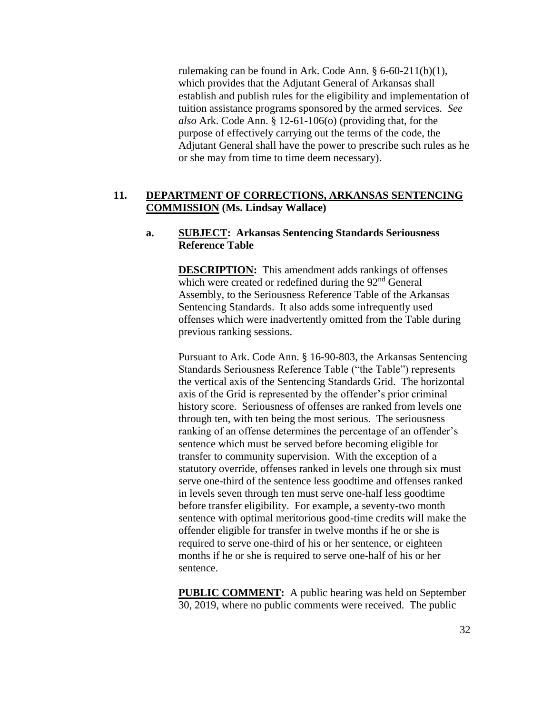rulemaking can be found in Ark. Code Ann. § 6-60-211(b)(1), which provides that the Adjutant General of Arkansas shall establish and publish rules for the eligibility and implementation of tuition assistance programs sponsored by the armed services. *See also* Ark. Code Ann. § 12-61-106(o) (providing that, for the purpose of effectively carrying out the terms of the code, the Adjutant General shall have the power to prescribe such rules as he or she may from time to time deem necessary).

## **11. DEPARTMENT OF CORRECTIONS, ARKANSAS SENTENCING COMMISSION (Ms. Lindsay Wallace)**

## **a. SUBJECT: Arkansas Sentencing Standards Seriousness Reference Table**

**DESCRIPTION:** This amendment adds rankings of offenses which were created or redefined during the  $92<sup>nd</sup>$  General Assembly, to the Seriousness Reference Table of the Arkansas Sentencing Standards. It also adds some infrequently used offenses which were inadvertently omitted from the Table during previous ranking sessions.

Pursuant to Ark. Code Ann. § 16-90-803, the Arkansas Sentencing Standards Seriousness Reference Table ("the Table") represents the vertical axis of the Sentencing Standards Grid. The horizontal axis of the Grid is represented by the offender's prior criminal history score. Seriousness of offenses are ranked from levels one through ten, with ten being the most serious. The seriousness ranking of an offense determines the percentage of an offender's sentence which must be served before becoming eligible for transfer to community supervision. With the exception of a statutory override, offenses ranked in levels one through six must serve one-third of the sentence less goodtime and offenses ranked in levels seven through ten must serve one-half less goodtime before transfer eligibility. For example, a seventy-two month sentence with optimal meritorious good-time credits will make the offender eligible for transfer in twelve months if he or she is required to serve one-third of his or her sentence, or eighteen months if he or she is required to serve one-half of his or her sentence.

**PUBLIC COMMENT:** A public hearing was held on September 30, 2019, where no public comments were received. The public